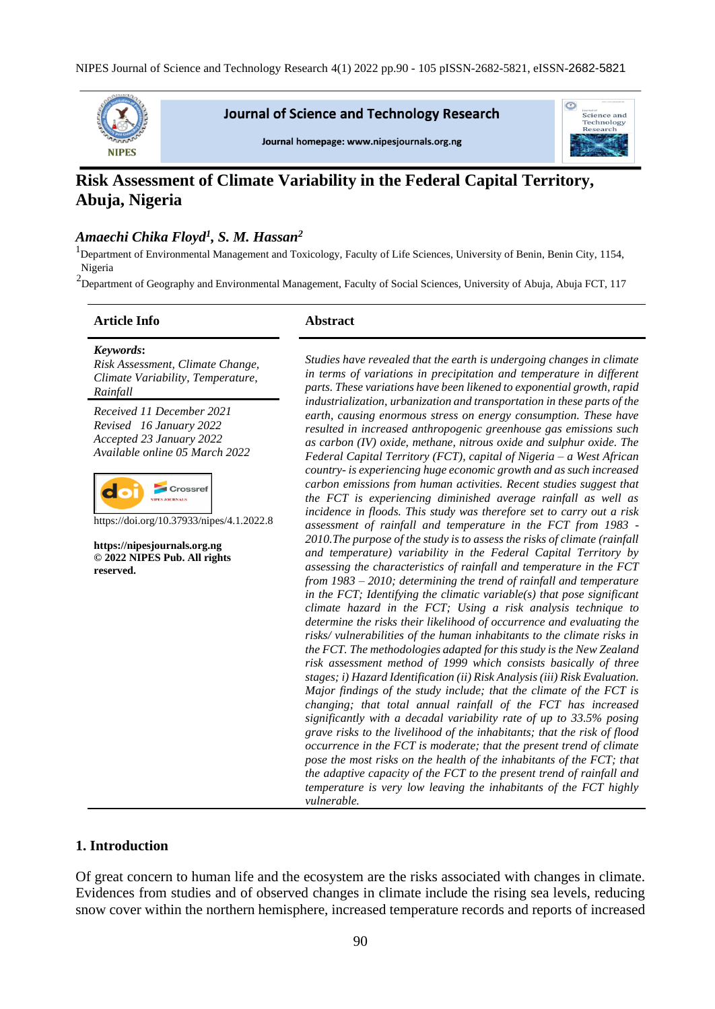

**Journal of Science and Technology Research** 

Journal homepage: www.nipesjournals.org.ng



# **Risk Assessment of Climate Variability in the Federal Capital Territory, Abuja, Nigeria**

### *Amaechi Chika Floyd<sup>1</sup> , S. M. Hassan<sup>2</sup>*

<sup>1</sup>Department of Environmental Management and Toxicology, Faculty of Life Sciences, University of Benin, Benin City, 1154, Nigeria

<sup>2</sup>Department of Geography and Environmental Management, Faculty of Social Sciences, University of Abuja, Abuja FCT, 117

#### **Article Info Abstract**

*Keywords***:** *Risk Assessment, Climate Change, Climate Variability, Temperature, Rainfall*

*Received 11 December 2021 Revised 16 January 2022 Accepted 23 January 2022 Available online 05 March 2022*



https://doi.org/10.37933/nipes/4.1.2022.8

**https://nipesjournals.org.ng © 2022 NIPES Pub. All rights reserved.**

*Studies have revealed that the earth is undergoing changes in climate in terms of variations in precipitation and temperature in different parts. These variations have been likened to exponential growth, rapid industrialization, urbanization and transportation in these parts of the earth, causing enormous stress on energy consumption. These have resulted in increased anthropogenic greenhouse gas emissions such as carbon (IV) oxide, methane, nitrous oxide and sulphur oxide. The Federal Capital Territory (FCT), capital of Nigeria – a West African country- is experiencing huge economic growth and as such increased carbon emissions from human activities. Recent studies suggest that the FCT is experiencing diminished average rainfall as well as incidence in floods. This study was therefore set to carry out a risk assessment of rainfall and temperature in the FCT from 1983 - 2010.The purpose of the study is to assess the risks of climate (rainfall and temperature) variability in the Federal Capital Territory by assessing the characteristics of rainfall and temperature in the FCT from 1983 – 2010; determining the trend of rainfall and temperature in the FCT; Identifying the climatic variable(s) that pose significant climate hazard in the FCT; Using a risk analysis technique to determine the risks their likelihood of occurrence and evaluating the risks/ vulnerabilities of the human inhabitants to the climate risks in the FCT. The methodologies adapted for this study is the New Zealand risk assessment method of 1999 which consists basically of three stages; i) Hazard Identification (ii) Risk Analysis (iii) Risk Evaluation. Major findings of the study include; that the climate of the FCT is changing; that total annual rainfall of the FCT has increased significantly with a decadal variability rate of up to 33.5% posing grave risks to the livelihood of the inhabitants; that the risk of flood occurrence in the FCT is moderate; that the present trend of climate pose the most risks on the health of the inhabitants of the FCT; that the adaptive capacity of the FCT to the present trend of rainfall and temperature is very low leaving the inhabitants of the FCT highly vulnerable.* 

### **1. Introduction**

Of great concern to human life and the ecosystem are the risks associated with changes in climate. Evidences from studies and of observed changes in climate include the rising sea levels, reducing snow cover within the northern hemisphere, increased temperature records and reports of increased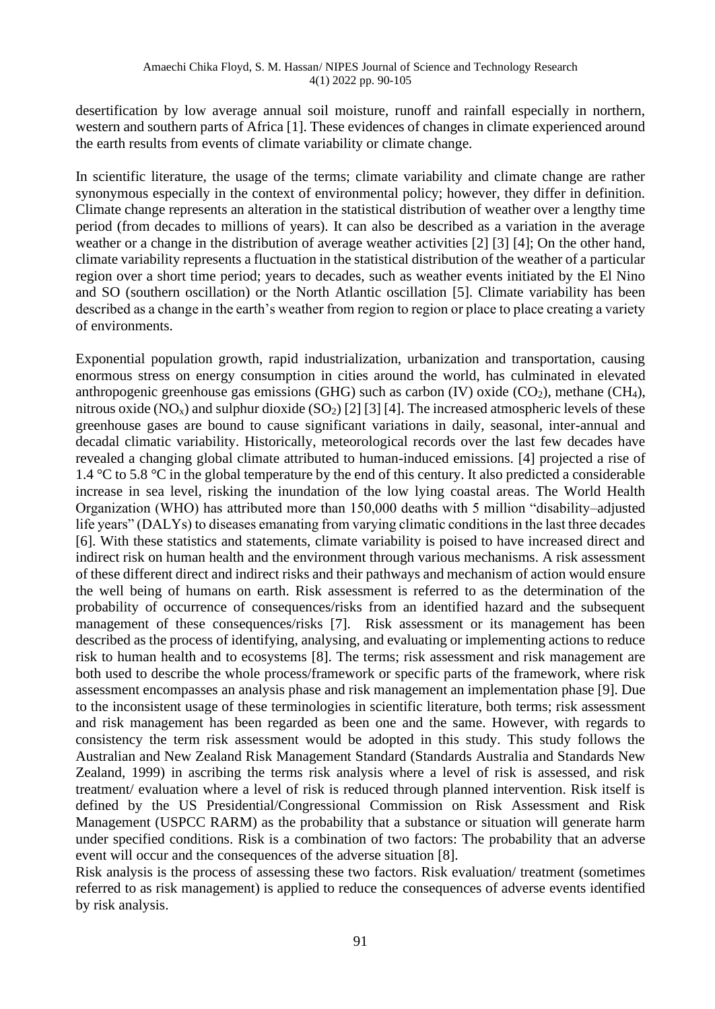desertification by low average annual soil moisture, runoff and rainfall especially in northern, western and southern parts of Africa [1]. These evidences of changes in climate experienced around the earth results from events of climate variability or climate change.

In scientific literature, the usage of the terms; climate variability and climate change are rather synonymous especially in the context of environmental policy; however, they differ in definition. Climate change represents an alteration in the statistical distribution of weather over a lengthy time period (from decades to millions of years). It can also be described as a variation in the average weather or a change in the distribution of average weather activities [2] [3] [4]; On the other hand, climate variability represents a fluctuation in the statistical distribution of the weather of a particular region over a short time period; years to decades, such as weather events initiated by the El Nino and SO (southern oscillation) or the North Atlantic oscillation [5]. Climate variability has been described as a change in the earth's weather from region to region or place to place creating a variety of environments.

Exponential population growth, rapid industrialization, urbanization and transportation, causing enormous stress on energy consumption in cities around the world, has culminated in elevated anthropogenic greenhouse gas emissions (GHG) such as carbon (IV) oxide  $(CO<sub>2</sub>)$ , methane (CH<sub>4</sub>), nitrous oxide (NO<sub>x</sub>) and sulphur dioxide (SO<sub>2</sub>) [2] [3] [4]. The increased atmospheric levels of these greenhouse gases are bound to cause significant variations in daily, seasonal, inter-annual and decadal climatic variability. Historically, meteorological records over the last few decades have revealed a changing global climate attributed to human-induced emissions. [4] projected a rise of 1.4 °C to 5.8 °C in the global temperature by the end of this century. It also predicted a considerable increase in sea level, risking the inundation of the low lying coastal areas. The World Health Organization (WHO) has attributed more than 150,000 deaths with 5 million "disability–adjusted life years" (DALYs) to diseases emanating from varying climatic conditions in the last three decades [6]. With these statistics and statements, climate variability is poised to have increased direct and indirect risk on human health and the environment through various mechanisms. A risk assessment of these different direct and indirect risks and their pathways and mechanism of action would ensure the well being of humans on earth. Risk assessment is referred to as the determination of the probability of occurrence of consequences/risks from an identified hazard and the subsequent management of these consequences/risks [7]. Risk assessment or its management has been described as the process of identifying, analysing, and evaluating or implementing actions to reduce risk to human health and to ecosystems [8]. The terms; risk assessment and risk management are both used to describe the whole process/framework or specific parts of the framework, where risk assessment encompasses an analysis phase and risk management an implementation phase [9]. Due to the inconsistent usage of these terminologies in scientific literature, both terms; risk assessment and risk management has been regarded as been one and the same. However, with regards to consistency the term risk assessment would be adopted in this study. This study follows the Australian and New Zealand Risk Management Standard (Standards Australia and Standards New Zealand, 1999) in ascribing the terms risk analysis where a level of risk is assessed, and risk treatment/ evaluation where a level of risk is reduced through planned intervention. Risk itself is defined by the US Presidential/Congressional Commission on Risk Assessment and Risk Management (USPCC RARM) as the probability that a substance or situation will generate harm under specified conditions. Risk is a combination of two factors: The probability that an adverse event will occur and the consequences of the adverse situation [8].

Risk analysis is the process of assessing these two factors. Risk evaluation/ treatment (sometimes referred to as risk management) is applied to reduce the consequences of adverse events identified by risk analysis.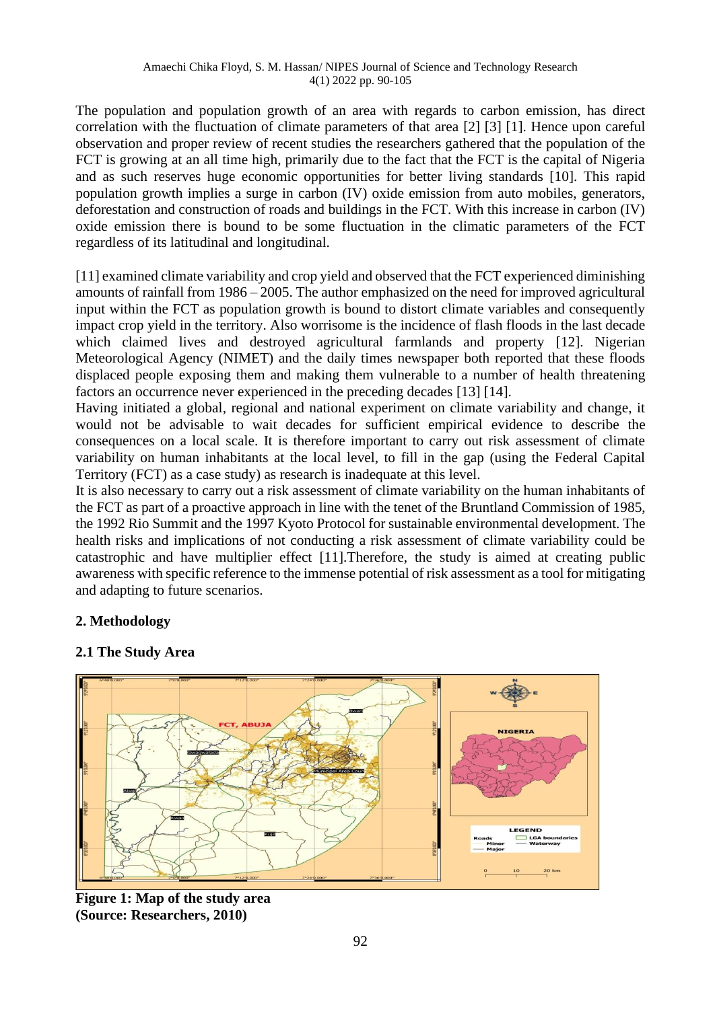The population and population growth of an area with regards to carbon emission, has direct correlation with the fluctuation of climate parameters of that area [2] [3] [1]. Hence upon careful observation and proper review of recent studies the researchers gathered that the population of the FCT is growing at an all time high, primarily due to the fact that the FCT is the capital of Nigeria and as such reserves huge economic opportunities for better living standards [10]. This rapid population growth implies a surge in carbon (IV) oxide emission from auto mobiles, generators, deforestation and construction of roads and buildings in the FCT. With this increase in carbon (IV) oxide emission there is bound to be some fluctuation in the climatic parameters of the FCT regardless of its latitudinal and longitudinal.

[11] examined climate variability and crop yield and observed that the FCT experienced diminishing amounts of rainfall from 1986 – 2005. The author emphasized on the need for improved agricultural input within the FCT as population growth is bound to distort climate variables and consequently impact crop yield in the territory. Also worrisome is the incidence of flash floods in the last decade which claimed lives and destroyed agricultural farmlands and property [12]. Nigerian Meteorological Agency (NIMET) and the daily times newspaper both reported that these floods displaced people exposing them and making them vulnerable to a number of health threatening factors an occurrence never experienced in the preceding decades [13] [14].

Having initiated a global, regional and national experiment on climate variability and change, it would not be advisable to wait decades for sufficient empirical evidence to describe the consequences on a local scale. It is therefore important to carry out risk assessment of climate variability on human inhabitants at the local level, to fill in the gap (using the Federal Capital Territory (FCT) as a case study) as research is inadequate at this level.

It is also necessary to carry out a risk assessment of climate variability on the human inhabitants of the FCT as part of a proactive approach in line with the tenet of the Bruntland Commission of 1985, the 1992 Rio Summit and the 1997 Kyoto Protocol for sustainable environmental development. The health risks and implications of not conducting a risk assessment of climate variability could be catastrophic and have multiplier effect [11].Therefore, the study is aimed at creating public awareness with specific reference to the immense potential of risk assessment as a tool for mitigating and adapting to future scenarios.

# **2. Methodology**

# **2.1 The Study Area**



**Figure 1: Map of the study area (Source: Researchers, 2010)**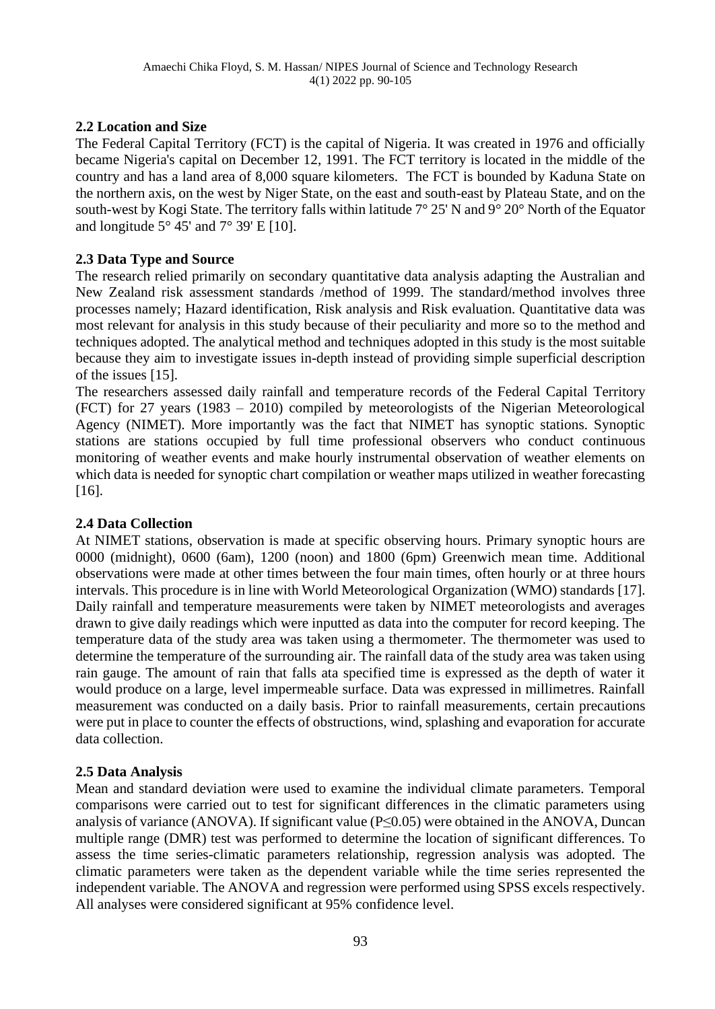# **2.2 Location and Size**

The Federal Capital Territory (FCT) is the capital of Nigeria. It was created in 1976 and officially became Nigeria's capital on December 12, 1991. The FCT territory is located in the middle of the country and has a land area of 8,000 square kilometers. The FCT is bounded by Kaduna State on the northern axis, on the west by Niger State, on the east and south-east by Plateau State, and on the south-west by Kogi State. The territory falls within latitude 7° 25' N and 9° 20° North of the Equator and longitude  $5^{\circ}$  45' and  $7^{\circ}$  39' E [10].

# **2.3 Data Type and Source**

The research relied primarily on secondary quantitative data analysis adapting the Australian and New Zealand risk assessment standards /method of 1999. The standard/method involves three processes namely; Hazard identification, Risk analysis and Risk evaluation. Quantitative data was most relevant for analysis in this study because of their peculiarity and more so to the method and techniques adopted. The analytical method and techniques adopted in this study is the most suitable because they aim to investigate issues in-depth instead of providing simple superficial description of the issues [15].

The researchers assessed daily rainfall and temperature records of the Federal Capital Territory (FCT) for 27 years (1983 – 2010) compiled by meteorologists of the Nigerian Meteorological Agency (NIMET). More importantly was the fact that NIMET has synoptic stations. Synoptic stations are stations occupied by full time professional observers who conduct continuous monitoring of weather events and make hourly instrumental observation of weather elements on which data is needed for synoptic chart compilation or weather maps utilized in weather forecasting [16].

# **2.4 Data Collection**

At NIMET stations, observation is made at specific observing hours. Primary synoptic hours are 0000 (midnight), 0600 (6am), 1200 (noon) and 1800 (6pm) Greenwich mean time. Additional observations were made at other times between the four main times, often hourly or at three hours intervals. This procedure is in line with World Meteorological Organization (WMO) standards [17]. Daily rainfall and temperature measurements were taken by NIMET meteorologists and averages drawn to give daily readings which were inputted as data into the computer for record keeping. The temperature data of the study area was taken using a thermometer. The thermometer was used to determine the temperature of the surrounding air. The rainfall data of the study area was taken using rain gauge. The amount of rain that falls ata specified time is expressed as the depth of water it would produce on a large, level impermeable surface. Data was expressed in millimetres. Rainfall measurement was conducted on a daily basis. Prior to rainfall measurements, certain precautions were put in place to counter the effects of obstructions, wind, splashing and evaporation for accurate data collection.

# **2.5 Data Analysis**

Mean and standard deviation were used to examine the individual climate parameters. Temporal comparisons were carried out to test for significant differences in the climatic parameters using analysis of variance (ANOVA). If significant value ( $P \le 0.05$ ) were obtained in the ANOVA, Duncan multiple range (DMR) test was performed to determine the location of significant differences. To assess the time series-climatic parameters relationship, regression analysis was adopted. The climatic parameters were taken as the dependent variable while the time series represented the independent variable. The ANOVA and regression were performed using SPSS excels respectively. All analyses were considered significant at 95% confidence level.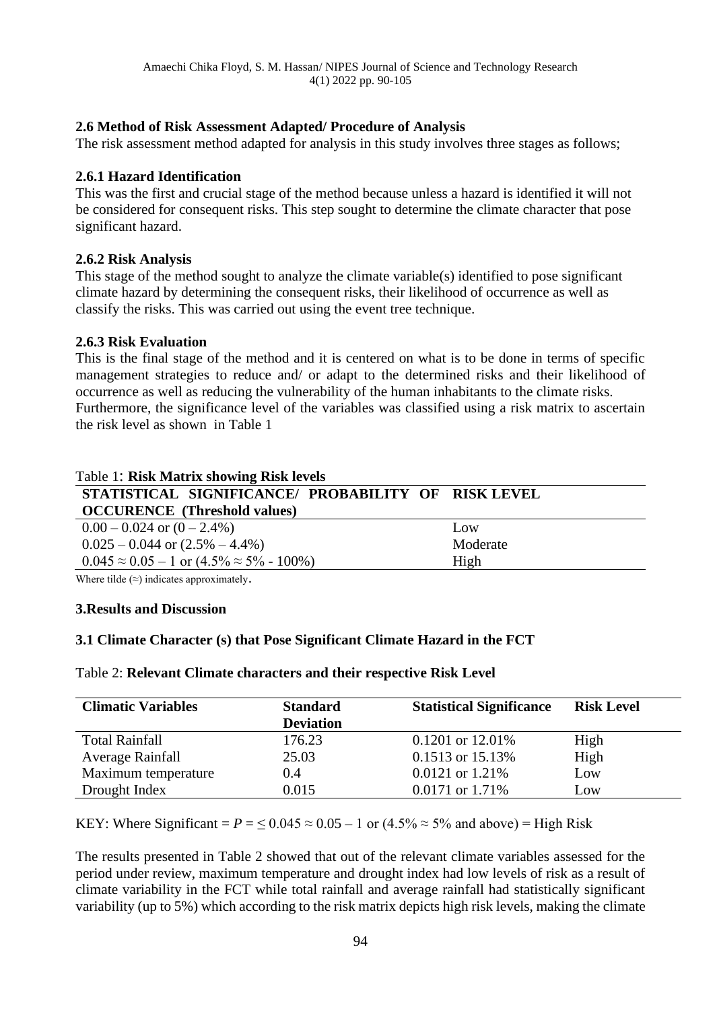# **2.6 Method of Risk Assessment Adapted/ Procedure of Analysis**

The risk assessment method adapted for analysis in this study involves three stages as follows;

### **2.6.1 Hazard Identification**

This was the first and crucial stage of the method because unless a hazard is identified it will not be considered for consequent risks. This step sought to determine the climate character that pose significant hazard.

### **2.6.2 Risk Analysis**

This stage of the method sought to analyze the climate variable(s) identified to pose significant climate hazard by determining the consequent risks, their likelihood of occurrence as well as classify the risks. This was carried out using the event tree technique.

### **2.6.3 Risk Evaluation**

This is the final stage of the method and it is centered on what is to be done in terms of specific management strategies to reduce and/ or adapt to the determined risks and their likelihood of occurrence as well as reducing the vulnerability of the human inhabitants to the climate risks. Furthermore, the significance level of the variables was classified using a risk matrix to ascertain the risk level as shown in Table 1

| Table 1: Risk Matrix showing Risk levels                                                                                                                                                                                                                                                                    |          |  |  |  |  |
|-------------------------------------------------------------------------------------------------------------------------------------------------------------------------------------------------------------------------------------------------------------------------------------------------------------|----------|--|--|--|--|
| STATISTICAL SIGNIFICANCE/ PROBABILITY OF RISK LEVEL                                                                                                                                                                                                                                                         |          |  |  |  |  |
| <b>OCCURENCE</b> (Threshold values)                                                                                                                                                                                                                                                                         |          |  |  |  |  |
| $0.00 - 0.024$ or $(0 - 2.4\%)$                                                                                                                                                                                                                                                                             | Low      |  |  |  |  |
| $0.025 - 0.044$ or $(2.5\% - 4.4\%)$                                                                                                                                                                                                                                                                        | Moderate |  |  |  |  |
| $0.045 \approx 0.05 - 1$ or $(4.5\% \approx 5\% - 100\%)$                                                                                                                                                                                                                                                   | High     |  |  |  |  |
| $\mathbf{W}$ , , $\mathbf{A}$ , $\mathbf{A}$ , $\mathbf{A}$ , $\mathbf{A}$ , $\mathbf{A}$ , $\mathbf{A}$ , $\mathbf{A}$ , $\mathbf{A}$ , $\mathbf{A}$ , $\mathbf{A}$ , $\mathbf{A}$ , $\mathbf{A}$ , $\mathbf{A}$ , $\mathbf{A}$ , $\mathbf{A}$ , $\mathbf{A}$ , $\mathbf{A}$ , $\mathbf{A}$ , $\mathbf{A}$ |          |  |  |  |  |

Where tilde  $(\approx)$  indicates approximately.

### **3.Results and Discussion**

# **3.1 Climate Character (s) that Pose Significant Climate Hazard in the FCT**

### Table 2: **Relevant Climate characters and their respective Risk Level**

| <b>Climatic Variables</b> | <b>Standard</b>  | <b>Statistical Significance</b> |      |
|---------------------------|------------------|---------------------------------|------|
|                           | <b>Deviation</b> |                                 |      |
| <b>Total Rainfall</b>     | 176.23           | $0.1201$ or $12.01\%$           | High |
| Average Rainfall          | 25.03            | $0.1513$ or $15.13\%$           | High |
| Maximum temperature       | 0.4              | $0.0121$ or 1.21%               | Low  |
| Drought Index             | 0.015            | $0.0171$ or 1.71%               | Low  |

KEY: Where Significant =  $P = \leq 0.045 \approx 0.05 - 1$  or  $(4.5\% \approx 5\%$  and above) = High Risk

The results presented in Table 2 showed that out of the relevant climate variables assessed for the period under review, maximum temperature and drought index had low levels of risk as a result of climate variability in the FCT while total rainfall and average rainfall had statistically significant variability (up to 5%) which according to the risk matrix depicts high risk levels, making the climate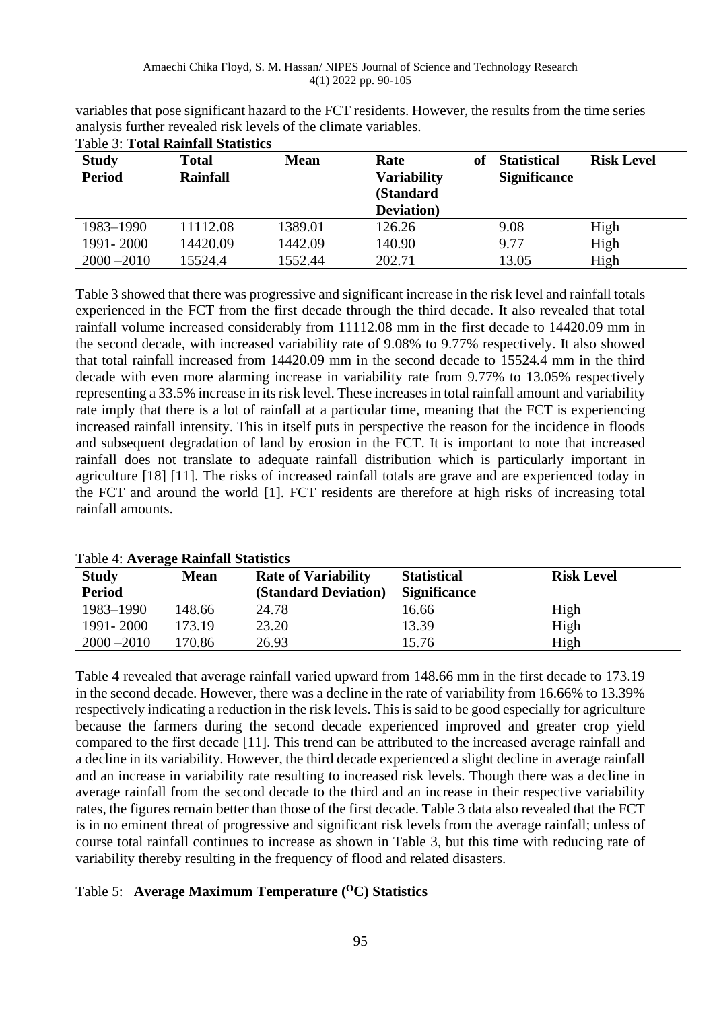| <b>Table 3: Total Rainfall Statistics</b> |                                 |             |                                                               |    |                                           |                   |
|-------------------------------------------|---------------------------------|-------------|---------------------------------------------------------------|----|-------------------------------------------|-------------------|
| <b>Study</b><br><b>Period</b>             | <b>Total</b><br><b>Rainfall</b> | <b>Mean</b> | Rate<br><b>Variability</b><br>(Standard<br><b>Deviation</b> ) | of | <b>Statistical</b><br><b>Significance</b> | <b>Risk Level</b> |
| 1983-1990                                 | 11112.08                        | 1389.01     | 126.26                                                        |    | 9.08                                      | High              |
| 1991 - 2000                               | 14420.09                        | 1442.09     | 140.90                                                        |    | 9.77                                      | High              |
| $2000 - 2010$                             | 15524.4                         | 1552.44     | 202.71                                                        |    | 13.05                                     | High              |

variables that pose significant hazard to the FCT residents. However, the results from the time series analysis further revealed risk levels of the climate variables.

Table 3 showed that there was progressive and significant increase in the risk level and rainfall totals experienced in the FCT from the first decade through the third decade. It also revealed that total rainfall volume increased considerably from 11112.08 mm in the first decade to 14420.09 mm in the second decade, with increased variability rate of 9.08% to 9.77% respectively. It also showed that total rainfall increased from 14420.09 mm in the second decade to 15524.4 mm in the third decade with even more alarming increase in variability rate from 9.77% to 13.05% respectively representing a 33.5% increase in its risk level. These increases in total rainfall amount and variability rate imply that there is a lot of rainfall at a particular time, meaning that the FCT is experiencing increased rainfall intensity. This in itself puts in perspective the reason for the incidence in floods and subsequent degradation of land by erosion in the FCT. It is important to note that increased rainfall does not translate to adequate rainfall distribution which is particularly important in agriculture [18] [11]. The risks of increased rainfall totals are grave and are experienced today in the FCT and around the world [1]. FCT residents are therefore at high risks of increasing total rainfall amounts.

| Table 4: Average Rainfall Statistics |             |                             |                     |                   |  |
|--------------------------------------|-------------|-----------------------------|---------------------|-------------------|--|
| <b>Study</b>                         | <b>Mean</b> | <b>Rate of Variability</b>  | <b>Statistical</b>  | <b>Risk Level</b> |  |
| <b>Period</b>                        |             | <b>(Standard Deviation)</b> | <b>Significance</b> |                   |  |
| 1983-1990                            | 148.66      | 24.78                       | 16.66               | High              |  |
| 1991-2000                            | 173.19      | 23.20                       | 13.39               | High              |  |
| $2000 - 2010$                        | 170.86      | 26.93                       | 15.76               | High              |  |

# Table 4: **Average Rainfall Statistics**

Table 4 revealed that average rainfall varied upward from 148.66 mm in the first decade to 173.19 in the second decade. However, there was a decline in the rate of variability from 16.66% to 13.39% respectively indicating a reduction in the risk levels. This is said to be good especially for agriculture because the farmers during the second decade experienced improved and greater crop yield compared to the first decade [11]. This trend can be attributed to the increased average rainfall and a decline in its variability. However, the third decade experienced a slight decline in average rainfall and an increase in variability rate resulting to increased risk levels. Though there was a decline in average rainfall from the second decade to the third and an increase in their respective variability rates, the figures remain better than those of the first decade. Table 3 data also revealed that the FCT is in no eminent threat of progressive and significant risk levels from the average rainfall; unless of course total rainfall continues to increase as shown in Table 3, but this time with reducing rate of variability thereby resulting in the frequency of flood and related disasters.

# Table 5: **Average Maximum Temperature (OC) Statistics**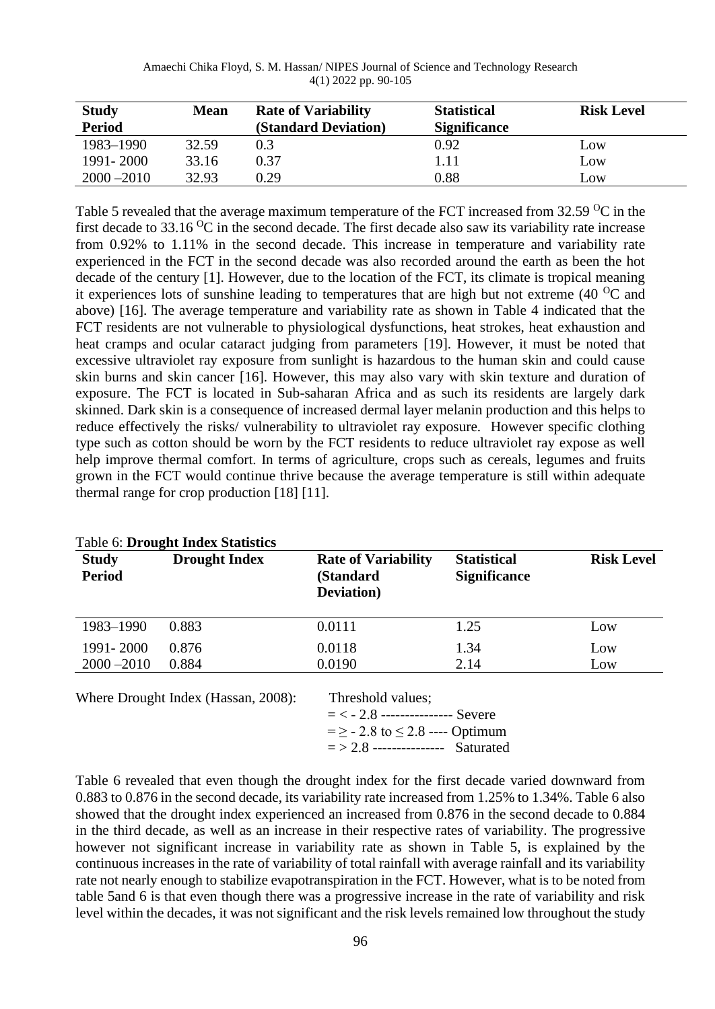| <b>Study</b>  | <b>Mean</b> | <b>Rate of Variability</b>  | <b>Statistical</b>  | <b>Risk Level</b> |
|---------------|-------------|-----------------------------|---------------------|-------------------|
| <b>Period</b> |             | <b>(Standard Deviation)</b> | <b>Significance</b> |                   |
| 1983-1990     | 32.59       | 0.3                         | 0.92                | Low               |
| 1991 - 2000   | 33.16       | 0.37                        | 1.11                | Low               |
| $2000 - 2010$ | 32.93       | 0.29                        | 0.88                | Low               |

Table 5 revealed that the average maximum temperature of the FCT increased from  $32.59 \degree C$  in the first decade to 33.16  $^{\circ}$ C in the second decade. The first decade also saw its variability rate increase from 0.92% to 1.11% in the second decade. This increase in temperature and variability rate experienced in the FCT in the second decade was also recorded around the earth as been the hot decade of the century [1]. However, due to the location of the FCT, its climate is tropical meaning it experiences lots of sunshine leading to temperatures that are high but not extreme (40 $\rm ^{0}C$  and above) [16]. The average temperature and variability rate as shown in Table 4 indicated that the FCT residents are not vulnerable to physiological dysfunctions, heat strokes, heat exhaustion and heat cramps and ocular cataract judging from parameters [19]. However, it must be noted that excessive ultraviolet ray exposure from sunlight is hazardous to the human skin and could cause skin burns and skin cancer [16]. However, this may also vary with skin texture and duration of exposure. The FCT is located in Sub-saharan Africa and as such its residents are largely dark skinned. Dark skin is a consequence of increased dermal layer melanin production and this helps to reduce effectively the risks/ vulnerability to ultraviolet ray exposure. However specific clothing type such as cotton should be worn by the FCT residents to reduce ultraviolet ray expose as well help improve thermal comfort. In terms of agriculture, crops such as cereals, legumes and fruits grown in the FCT would continue thrive because the average temperature is still within adequate thermal range for crop production [18] [11].

|                               | Table 6: Drought Index Statistics |                                                               |                                           |                   |
|-------------------------------|-----------------------------------|---------------------------------------------------------------|-------------------------------------------|-------------------|
| <b>Study</b><br><b>Period</b> | <b>Drought Index</b>              | <b>Rate of Variability</b><br>(Standard<br><b>Deviation</b> ) | <b>Statistical</b><br><b>Significance</b> | <b>Risk Level</b> |
| 1983-1990                     | 0.883                             | 0.0111                                                        | 1.25                                      | Low               |
| 1991 - 2000<br>$2000 - 2010$  | 0.876<br>0.884                    | 0.0118<br>0.0190                                              | 1.34<br>2.14                              | Low<br>Low        |

Table 6: **Drought Index Statistics** 

Where Drought Index (Hassan, 2008): Threshold values;

 = < - 2.8 --------------- Severe  $= 2 - 2.8$  to  $\leq 2.8$  ---- Optimum  $=$  > 2.8 --------------- Saturated

Table 6 revealed that even though the drought index for the first decade varied downward from 0.883 to 0.876 in the second decade, its variability rate increased from 1.25% to 1.34%. Table 6 also showed that the drought index experienced an increased from 0.876 in the second decade to 0.884 in the third decade, as well as an increase in their respective rates of variability. The progressive however not significant increase in variability rate as shown in Table 5, is explained by the continuous increases in the rate of variability of total rainfall with average rainfall and its variability rate not nearly enough to stabilize evapotranspiration in the FCT. However, what is to be noted from table 5and 6 is that even though there was a progressive increase in the rate of variability and risk level within the decades, it was not significant and the risk levels remained low throughout the study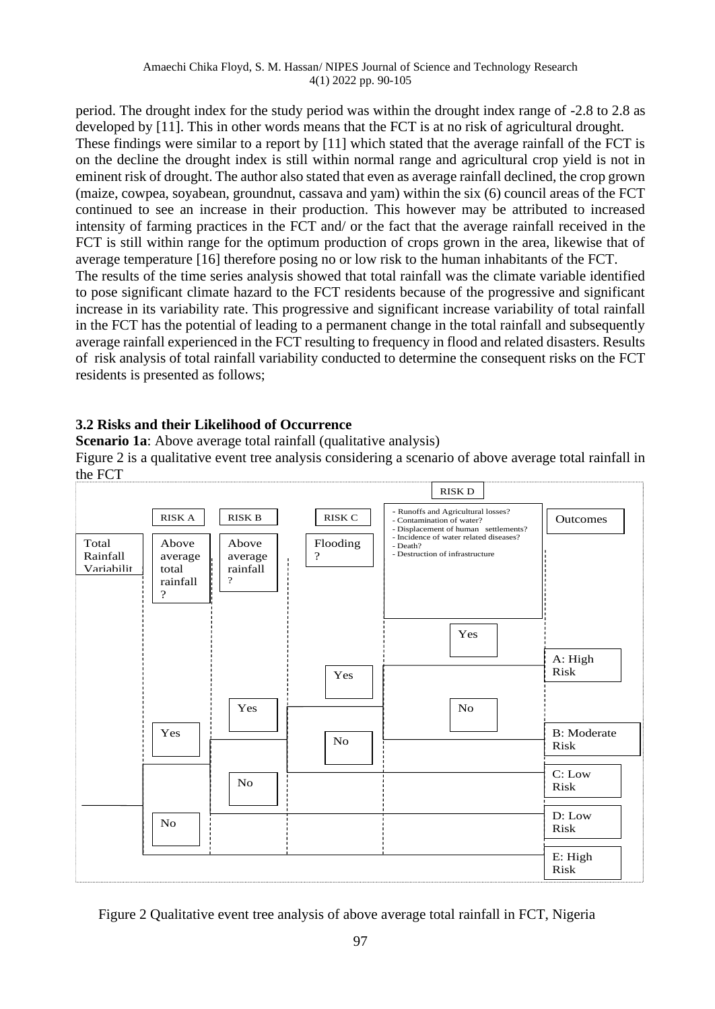period. The drought index for the study period was within the drought index range of -2.8 to 2.8 as developed by [11]. This in other words means that the FCT is at no risk of agricultural drought. These findings were similar to a report by [11] which stated that the average rainfall of the FCT is on the decline the drought index is still within normal range and agricultural crop yield is not in eminent risk of drought. The author also stated that even as average rainfall declined, the crop grown (maize, cowpea, soyabean, groundnut, cassava and yam) within the six (6) council areas of the FCT continued to see an increase in their production. This however may be attributed to increased intensity of farming practices in the FCT and/ or the fact that the average rainfall received in the FCT is still within range for the optimum production of crops grown in the area, likewise that of average temperature [16] therefore posing no or low risk to the human inhabitants of the FCT. The results of the time series analysis showed that total rainfall was the climate variable identified to pose significant climate hazard to the FCT residents because of the progressive and significant increase in its variability rate. This progressive and significant increase variability of total rainfall in the FCT has the potential of leading to a permanent change in the total rainfall and subsequently average rainfall experienced in the FCT resulting to frequency in flood and related disasters. Results of risk analysis of total rainfall variability conducted to determine the consequent risks on the FCT residents is presented as follows;

# **3.2 Risks and their Likelihood of Occurrence**

**Scenario 1a**: Above average total rainfall (qualitative analysis)

Figure 2 is a qualitative event tree analysis considering a scenario of above average total rainfall in the FCT



Figure 2 Qualitative event tree analysis of above average total rainfall in FCT, Nigeria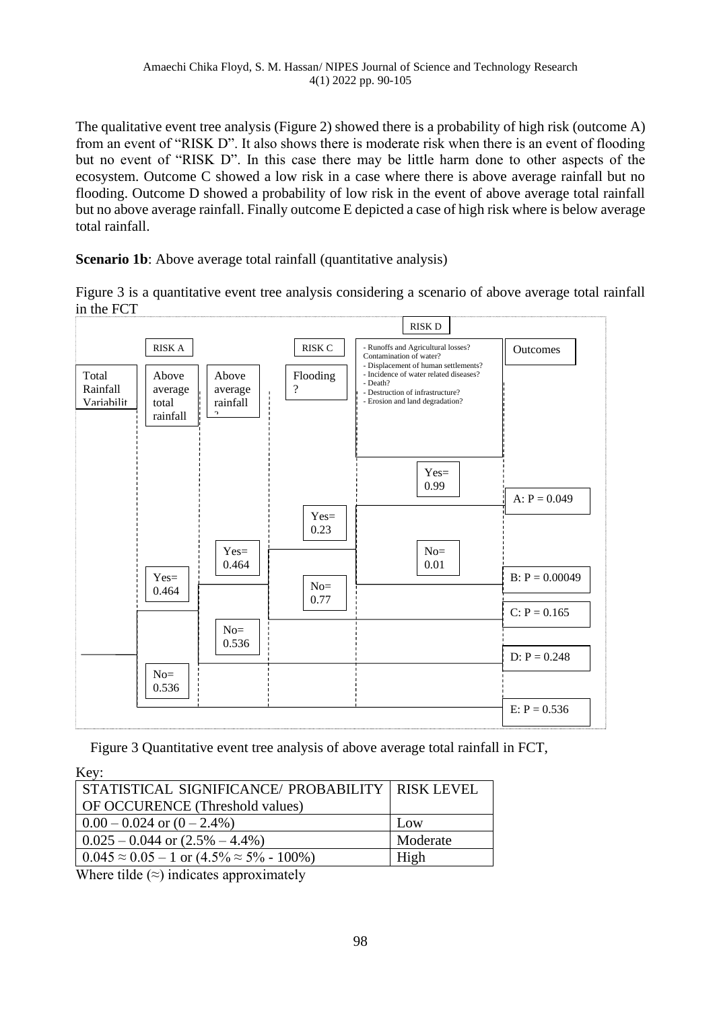The qualitative event tree analysis (Figure 2) showed there is a probability of high risk (outcome A) from an event of "RISK D". It also shows there is moderate risk when there is an event of flooding but no event of "RISK D". In this case there may be little harm done to other aspects of the ecosystem. Outcome C showed a low risk in a case where there is above average rainfall but no flooding. Outcome D showed a probability of low risk in the event of above average total rainfall but no above average rainfall. Finally outcome E depicted a case of high risk where is below average total rainfall.

**Scenario 1b**: Above average total rainfall (quantitative analysis)

Figure 3 is a quantitative event tree analysis considering a scenario of above average total rainfall in the FCT



Figure 3 Quantitative event tree analysis of above average total rainfall in FCT,

| Key:                                                            |          |
|-----------------------------------------------------------------|----------|
| STATISTICAL SIGNIFICANCE/ PROBABILITY   RISK LEVEL              |          |
| <b>OF OCCURENCE</b> (Threshold values)                          |          |
| $0.00 - 0.024$ or $(0 - 2.4\%)$                                 | Low      |
| $\vert 0.025 - 0.044 \text{ or } (2.5\% - 4.4\%)$               | Moderate |
| $\vert 0.045 \approx 0.05 - 1$ or $(4.5\% \approx 5\% - 100\%)$ | High     |

Where tilde  $(\approx)$  indicates approximately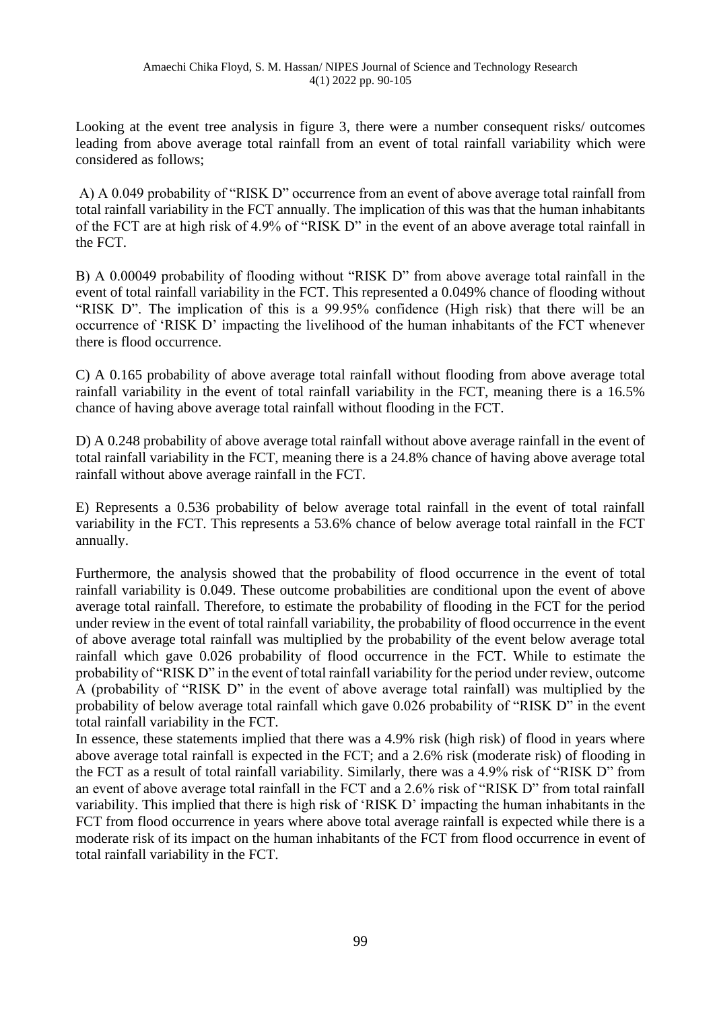Looking at the event tree analysis in figure 3, there were a number consequent risks/ outcomes leading from above average total rainfall from an event of total rainfall variability which were considered as follows;

A) A 0.049 probability of "RISK D" occurrence from an event of above average total rainfall from total rainfall variability in the FCT annually. The implication of this was that the human inhabitants of the FCT are at high risk of 4.9% of "RISK D" in the event of an above average total rainfall in the FCT.

B) A 0.00049 probability of flooding without "RISK D" from above average total rainfall in the event of total rainfall variability in the FCT. This represented a 0.049% chance of flooding without "RISK D". The implication of this is a 99.95% confidence (High risk) that there will be an occurrence of 'RISK D' impacting the livelihood of the human inhabitants of the FCT whenever there is flood occurrence.

C) A 0.165 probability of above average total rainfall without flooding from above average total rainfall variability in the event of total rainfall variability in the FCT, meaning there is a 16.5% chance of having above average total rainfall without flooding in the FCT.

D) A 0.248 probability of above average total rainfall without above average rainfall in the event of total rainfall variability in the FCT, meaning there is a 24.8% chance of having above average total rainfall without above average rainfall in the FCT.

E) Represents a 0.536 probability of below average total rainfall in the event of total rainfall variability in the FCT. This represents a 53.6% chance of below average total rainfall in the FCT annually.

Furthermore, the analysis showed that the probability of flood occurrence in the event of total rainfall variability is 0.049. These outcome probabilities are conditional upon the event of above average total rainfall. Therefore, to estimate the probability of flooding in the FCT for the period under review in the event of total rainfall variability, the probability of flood occurrence in the event of above average total rainfall was multiplied by the probability of the event below average total rainfall which gave 0.026 probability of flood occurrence in the FCT. While to estimate the probability of "RISK D" in the event of total rainfall variability for the period under review, outcome A (probability of "RISK D" in the event of above average total rainfall) was multiplied by the probability of below average total rainfall which gave 0.026 probability of "RISK D" in the event total rainfall variability in the FCT.

In essence, these statements implied that there was a 4.9% risk (high risk) of flood in years where above average total rainfall is expected in the FCT; and a 2.6% risk (moderate risk) of flooding in the FCT as a result of total rainfall variability. Similarly, there was a 4.9% risk of "RISK D" from an event of above average total rainfall in the FCT and a 2.6% risk of "RISK D" from total rainfall variability. This implied that there is high risk of 'RISK D' impacting the human inhabitants in the FCT from flood occurrence in years where above total average rainfall is expected while there is a moderate risk of its impact on the human inhabitants of the FCT from flood occurrence in event of total rainfall variability in the FCT.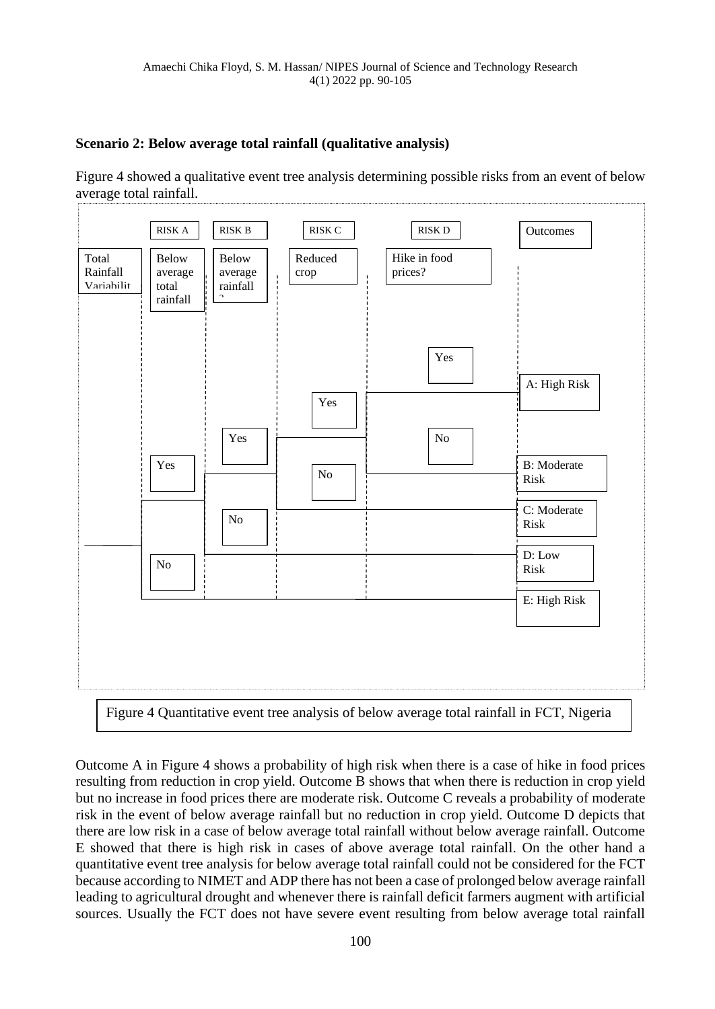# **Scenario 2: Below average total rainfall (qualitative analysis)**

Figure 4 showed a qualitative event tree analysis determining possible risks from an event of below average total rainfall.



Figure 4 Quantitative event tree analysis of below average total rainfall in FCT, Nigeria

Outcome A in Figure 4 shows a probability of high risk when there is a case of hike in food prices resulting from reduction in crop yield. Outcome B shows that when there is reduction in crop yield but no increase in food prices there are moderate risk. Outcome C reveals a probability of moderate risk in the event of below average rainfall but no reduction in crop yield. Outcome D depicts that there are low risk in a case of below average total rainfall without below average rainfall. Outcome E showed that there is high risk in cases of above average total rainfall. On the other hand a quantitative event tree analysis for below average total rainfall could not be considered for the FCT because according to NIMET and ADP there has not been a case of prolonged below average rainfall leading to agricultural drought and whenever there is rainfall deficit farmers augment with artificial sources. Usually the FCT does not have severe event resulting from below average total rainfall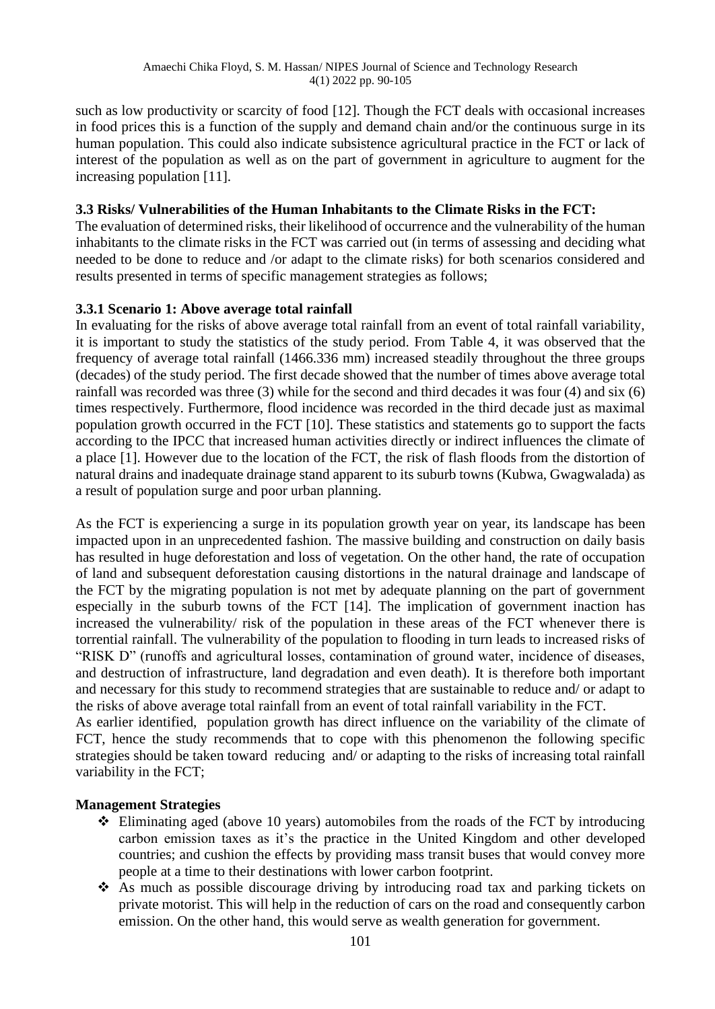such as low productivity or scarcity of food [12]. Though the FCT deals with occasional increases in food prices this is a function of the supply and demand chain and/or the continuous surge in its human population. This could also indicate subsistence agricultural practice in the FCT or lack of interest of the population as well as on the part of government in agriculture to augment for the increasing population [11].

### **3.3 Risks/ Vulnerabilities of the Human Inhabitants to the Climate Risks in the FCT:**

The evaluation of determined risks, their likelihood of occurrence and the vulnerability of the human inhabitants to the climate risks in the FCT was carried out (in terms of assessing and deciding what needed to be done to reduce and /or adapt to the climate risks) for both scenarios considered and results presented in terms of specific management strategies as follows;

# **3.3.1 Scenario 1: Above average total rainfall**

In evaluating for the risks of above average total rainfall from an event of total rainfall variability, it is important to study the statistics of the study period. From Table 4, it was observed that the frequency of average total rainfall (1466.336 mm) increased steadily throughout the three groups (decades) of the study period. The first decade showed that the number of times above average total rainfall was recorded was three (3) while for the second and third decades it was four (4) and six (6) times respectively. Furthermore, flood incidence was recorded in the third decade just as maximal population growth occurred in the FCT [10]. These statistics and statements go to support the facts according to the IPCC that increased human activities directly or indirect influences the climate of a place [1]. However due to the location of the FCT, the risk of flash floods from the distortion of natural drains and inadequate drainage stand apparent to its suburb towns (Kubwa, Gwagwalada) as a result of population surge and poor urban planning.

As the FCT is experiencing a surge in its population growth year on year, its landscape has been impacted upon in an unprecedented fashion. The massive building and construction on daily basis has resulted in huge deforestation and loss of vegetation. On the other hand, the rate of occupation of land and subsequent deforestation causing distortions in the natural drainage and landscape of the FCT by the migrating population is not met by adequate planning on the part of government especially in the suburb towns of the FCT [14]. The implication of government inaction has increased the vulnerability/ risk of the population in these areas of the FCT whenever there is torrential rainfall. The vulnerability of the population to flooding in turn leads to increased risks of "RISK D" (runoffs and agricultural losses, contamination of ground water, incidence of diseases, and destruction of infrastructure, land degradation and even death). It is therefore both important and necessary for this study to recommend strategies that are sustainable to reduce and/ or adapt to the risks of above average total rainfall from an event of total rainfall variability in the FCT.

As earlier identified, population growth has direct influence on the variability of the climate of FCT, hence the study recommends that to cope with this phenomenon the following specific strategies should be taken toward reducing and/ or adapting to the risks of increasing total rainfall variability in the FCT;

### **Management Strategies**

- ❖ Eliminating aged (above 10 years) automobiles from the roads of the FCT by introducing carbon emission taxes as it's the practice in the United Kingdom and other developed countries; and cushion the effects by providing mass transit buses that would convey more people at a time to their destinations with lower carbon footprint.
- ❖ As much as possible discourage driving by introducing road tax and parking tickets on private motorist. This will help in the reduction of cars on the road and consequently carbon emission. On the other hand, this would serve as wealth generation for government.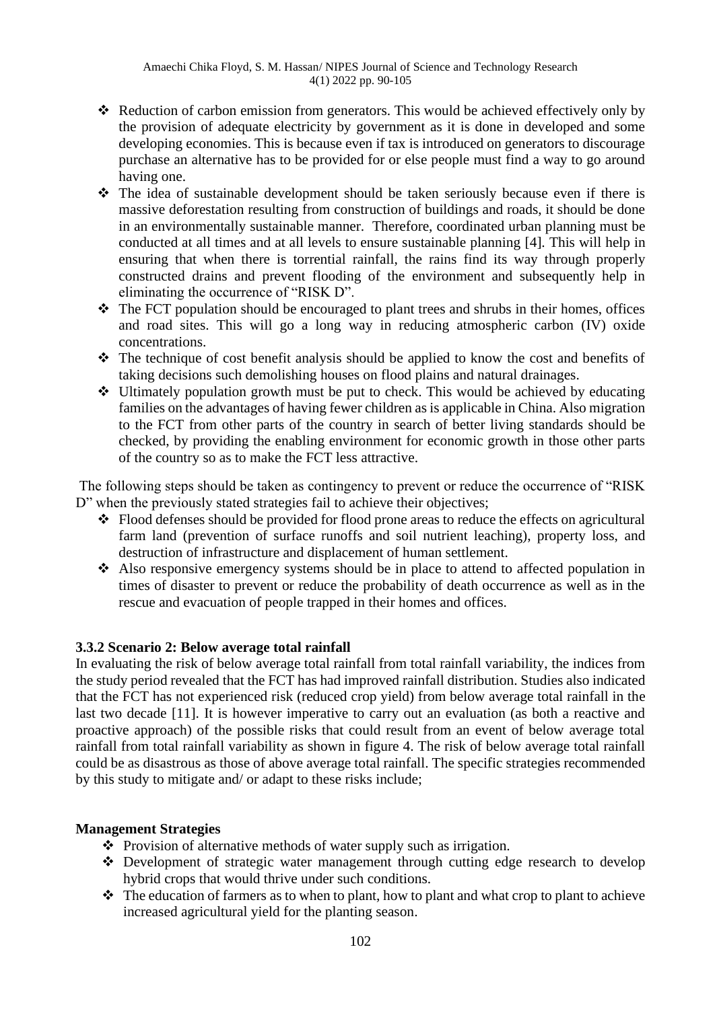- ❖ Reduction of carbon emission from generators. This would be achieved effectively only by the provision of adequate electricity by government as it is done in developed and some developing economies. This is because even if tax is introduced on generators to discourage purchase an alternative has to be provided for or else people must find a way to go around having one.
- ❖ The idea of sustainable development should be taken seriously because even if there is massive deforestation resulting from construction of buildings and roads, it should be done in an environmentally sustainable manner. Therefore, coordinated urban planning must be conducted at all times and at all levels to ensure sustainable planning [4]. This will help in ensuring that when there is torrential rainfall, the rains find its way through properly constructed drains and prevent flooding of the environment and subsequently help in eliminating the occurrence of "RISK D".
- ❖ The FCT population should be encouraged to plant trees and shrubs in their homes, offices and road sites. This will go a long way in reducing atmospheric carbon (IV) oxide concentrations.
- ❖ The technique of cost benefit analysis should be applied to know the cost and benefits of taking decisions such demolishing houses on flood plains and natural drainages.
- ❖ Ultimately population growth must be put to check. This would be achieved by educating families on the advantages of having fewer children as is applicable in China. Also migration to the FCT from other parts of the country in search of better living standards should be checked, by providing the enabling environment for economic growth in those other parts of the country so as to make the FCT less attractive.

The following steps should be taken as contingency to prevent or reduce the occurrence of "RISK D" when the previously stated strategies fail to achieve their objectives;

- ❖ Flood defenses should be provided for flood prone areas to reduce the effects on agricultural farm land (prevention of surface runoffs and soil nutrient leaching), property loss, and destruction of infrastructure and displacement of human settlement.
- ❖ Also responsive emergency systems should be in place to attend to affected population in times of disaster to prevent or reduce the probability of death occurrence as well as in the rescue and evacuation of people trapped in their homes and offices.

# **3.3.2 Scenario 2: Below average total rainfall**

In evaluating the risk of below average total rainfall from total rainfall variability, the indices from the study period revealed that the FCT has had improved rainfall distribution. Studies also indicated that the FCT has not experienced risk (reduced crop yield) from below average total rainfall in the last two decade [11]. It is however imperative to carry out an evaluation (as both a reactive and proactive approach) of the possible risks that could result from an event of below average total rainfall from total rainfall variability as shown in figure 4. The risk of below average total rainfall could be as disastrous as those of above average total rainfall. The specific strategies recommended by this study to mitigate and/ or adapt to these risks include;

# **Management Strategies**

- ❖ Provision of alternative methods of water supply such as irrigation.
- ❖ Development of strategic water management through cutting edge research to develop hybrid crops that would thrive under such conditions.
- ❖ The education of farmers as to when to plant, how to plant and what crop to plant to achieve increased agricultural yield for the planting season.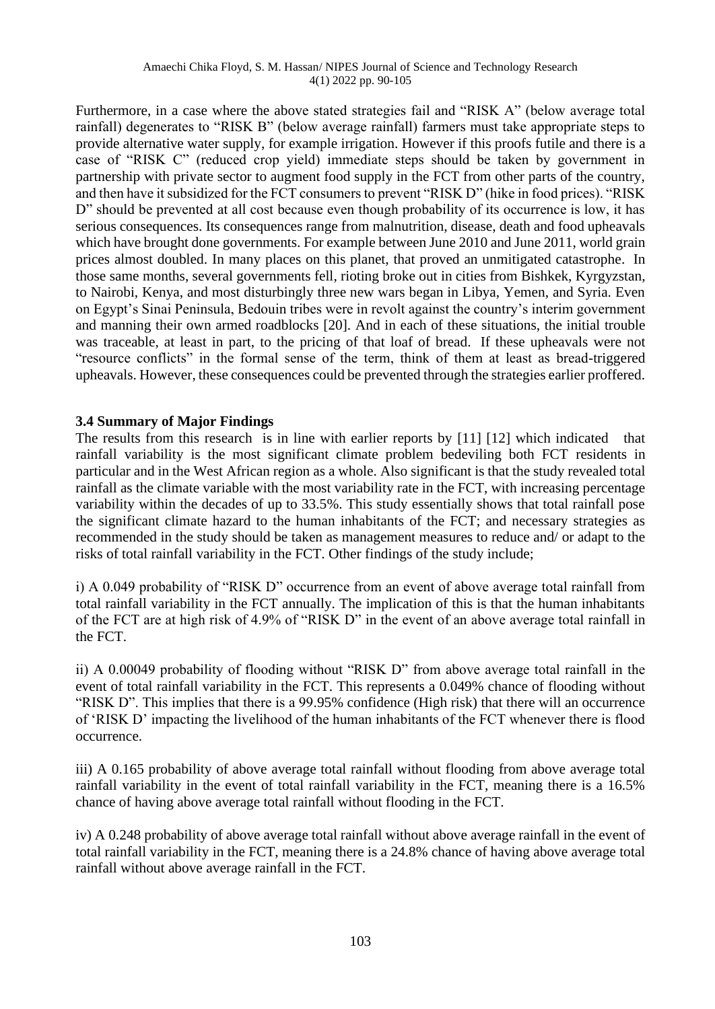Furthermore, in a case where the above stated strategies fail and "RISK A" (below average total rainfall) degenerates to "RISK B" (below average rainfall) farmers must take appropriate steps to provide alternative water supply, for example irrigation. However if this proofs futile and there is a case of "RISK C" (reduced crop yield) immediate steps should be taken by government in partnership with private sector to augment food supply in the FCT from other parts of the country, and then have it subsidized for the FCT consumers to prevent "RISK D" (hike in food prices). "RISK D" should be prevented at all cost because even though probability of its occurrence is low, it has serious consequences. Its consequences range from malnutrition, disease, death and food upheavals which have brought done governments. For example between June 2010 and June 2011, world grain prices [almost doubled.](http://www.fao.org/worldfoodsituation/wfs-home/foodpricesindex/en/) In many places on this planet, that proved an unmitigated catastrophe. In those same months, several governments fell, rioting broke out in cities from Bishkek, Kyrgyzstan, to Nairobi, Kenya, and most disturbingly three new wars began in Libya, Yemen, and Syria. Even on Egypt's Sinai Peninsula, Bedouin tribes were in revolt against the country's interim government and manning their own armed roadblocks [20]. And in each of these situations, the initial trouble was traceable, at least in part, to the pricing of that loaf of bread. If these upheavals were not "resource conflicts" in the formal sense of the term, think of them at least as bread-triggered upheavals. However, these consequences could be prevented through the strategies earlier proffered.

### **3.4 Summary of Major Findings**

The results from this research is in line with earlier reports by [11] [12] which indicated that rainfall variability is the most significant climate problem bedeviling both FCT residents in particular and in the West African region as a whole. Also significant is that the study revealed total rainfall as the climate variable with the most variability rate in the FCT, with increasing percentage variability within the decades of up to 33.5%. This study essentially shows that total rainfall pose the significant climate hazard to the human inhabitants of the FCT; and necessary strategies as recommended in the study should be taken as management measures to reduce and/ or adapt to the risks of total rainfall variability in the FCT. Other findings of the study include;

i) A 0.049 probability of "RISK D" occurrence from an event of above average total rainfall from total rainfall variability in the FCT annually. The implication of this is that the human inhabitants of the FCT are at high risk of 4.9% of "RISK D" in the event of an above average total rainfall in the FCT.

ii) A 0.00049 probability of flooding without "RISK D" from above average total rainfall in the event of total rainfall variability in the FCT. This represents a 0.049% chance of flooding without "RISK D". This implies that there is a 99.95% confidence (High risk) that there will an occurrence of 'RISK D' impacting the livelihood of the human inhabitants of the FCT whenever there is flood occurrence.

iii) A 0.165 probability of above average total rainfall without flooding from above average total rainfall variability in the event of total rainfall variability in the FCT, meaning there is a 16.5% chance of having above average total rainfall without flooding in the FCT.

iv) A 0.248 probability of above average total rainfall without above average rainfall in the event of total rainfall variability in the FCT, meaning there is a 24.8% chance of having above average total rainfall without above average rainfall in the FCT.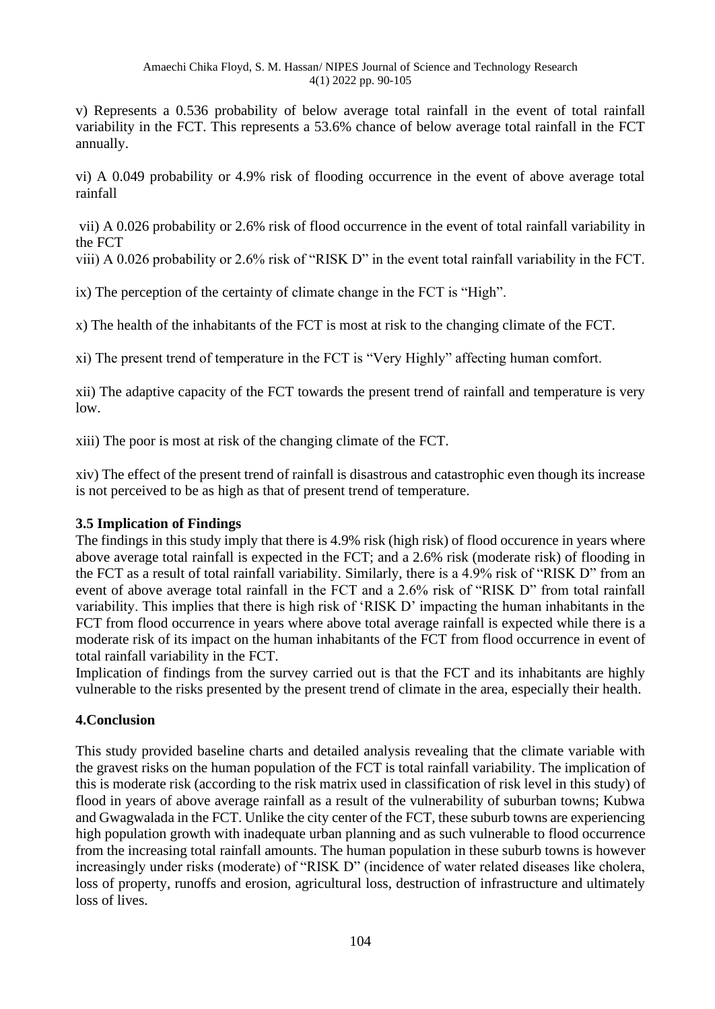v) Represents a 0.536 probability of below average total rainfall in the event of total rainfall variability in the FCT. This represents a 53.6% chance of below average total rainfall in the FCT annually.

vi) A 0.049 probability or 4.9% risk of flooding occurrence in the event of above average total rainfall

vii) A 0.026 probability or 2.6% risk of flood occurrence in the event of total rainfall variability in the FCT

viii) A 0.026 probability or 2.6% risk of "RISK D" in the event total rainfall variability in the FCT.

ix) The perception of the certainty of climate change in the FCT is "High".

x) The health of the inhabitants of the FCT is most at risk to the changing climate of the FCT.

xi) The present trend of temperature in the FCT is "Very Highly" affecting human comfort.

xii) The adaptive capacity of the FCT towards the present trend of rainfall and temperature is very low.

xiii) The poor is most at risk of the changing climate of the FCT.

xiv) The effect of the present trend of rainfall is disastrous and catastrophic even though its increase is not perceived to be as high as that of present trend of temperature.

### **3.5 Implication of Findings**

The findings in this study imply that there is 4.9% risk (high risk) of flood occurence in years where above average total rainfall is expected in the FCT; and a 2.6% risk (moderate risk) of flooding in the FCT as a result of total rainfall variability. Similarly, there is a 4.9% risk of "RISK D" from an event of above average total rainfall in the FCT and a 2.6% risk of "RISK D" from total rainfall variability. This implies that there is high risk of 'RISK D' impacting the human inhabitants in the FCT from flood occurrence in years where above total average rainfall is expected while there is a moderate risk of its impact on the human inhabitants of the FCT from flood occurrence in event of total rainfall variability in the FCT.

Implication of findings from the survey carried out is that the FCT and its inhabitants are highly vulnerable to the risks presented by the present trend of climate in the area, especially their health.

### **4.Conclusion**

This study provided baseline charts and detailed analysis revealing that the climate variable with the gravest risks on the human population of the FCT is total rainfall variability. The implication of this is moderate risk (according to the risk matrix used in classification of risk level in this study) of flood in years of above average rainfall as a result of the vulnerability of suburban towns; Kubwa and Gwagwalada in the FCT. Unlike the city center of the FCT, these suburb towns are experiencing high population growth with inadequate urban planning and as such vulnerable to flood occurrence from the increasing total rainfall amounts. The human population in these suburb towns is however increasingly under risks (moderate) of "RISK D" (incidence of water related diseases like cholera, loss of property, runoffs and erosion, agricultural loss, destruction of infrastructure and ultimately loss of lives.